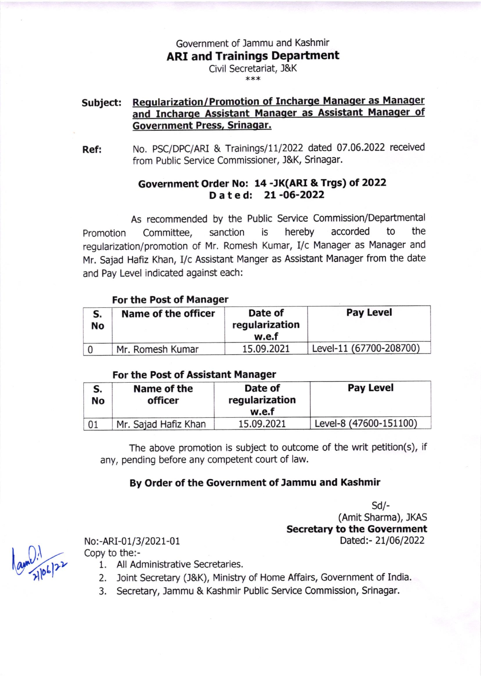Government of Jammu and Kashmir

**ARI and Trainings Department** 

Civil Secretariat, J&K \*x\*

# Subject: Regularization/Promotion of Incharge Manager as Manager and Incharge Assistant Manager as Assistant Manager of Government Press, Srinaqar.

Ref: No. PSC/DPC/ARI & Trainings/11/2022 dated 07.06.2022 received from Public Service Commissioner, J&K, Srinagar.

## Government Order No: 14 -JK(ARI &Trgs) ot 2022 Dated: 21-06-2022

As recommended by the Public Service Commission/Departmental Promotion Committee, sanction is hereby accorded to the regularization/promotion of Mr. Romesh Kumar, I/c Manager as Manager and Mr. Sajad Hafiz Khan, I/c Assistant Manger as Assistant Manager from the date and Pay Level indicated against each:

### For the Post of Manager

| <b>No</b> | Name of the officer | Date of<br>regularization<br>w.e.f | <b>Pay Level</b>        |
|-----------|---------------------|------------------------------------|-------------------------|
|           | Mr. Romesh Kumar    | 15.09.2021                         | Level-11 (67700-208700) |

### For the Post of Assistant Manager

| S.<br>No | Name of the<br>officer | Date of<br>regularization<br>w.e.f | <b>Pay Level</b>       |
|----------|------------------------|------------------------------------|------------------------|
| 01       | Mr. Sajad Hafiz Khan   | 15.09.2021                         | Level-8 (47600-151100) |

The above promotion is subject to outcome of the writ petition(s), if any, pending before any competent court of law.

## By Order of the Government of Jammu and Kashmir

 $Sd$ -(Amit Sharma), JKAS Secretary to the Government<br>Dated:- 21/06/2022

Copy to the:-

- 1. All Administrative Secretaries.
- 2. loint Secretary (J&K), Ministry of Home Affairs, Government of India.
- 3. Secretary, Jammu & Kashmir Public Service Commission, Srinagar.

 $\lambda$ t lo  $\boldsymbol{\gamma}$